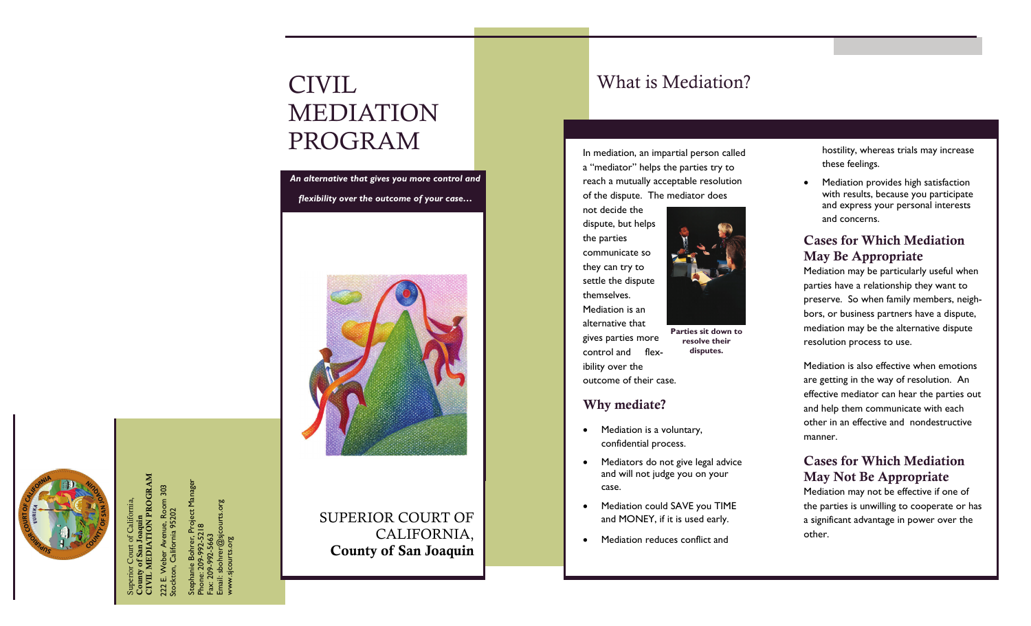# CIVIL What is Mediation? MEDIATION PROGRAM

*An alternative that gives you more control and flexibility over the outcome of your case…* 



SUPERIOR COURT OF CALIFORNIA, County of San Joaquin

In mediation, an impartial person called <sup>a</sup>"mediator" helps the parties try to reach a mutually acceptable resolution of the dispute. The mediator does

not decide the dispute, but helps the parties communicate so they can try to settle the dispute themselves. Mediation is an

alternative that gives parties more control and flexibility over the outcome of their case. **Parties sit down to** 

### Why mediate?

- Mediation is a voluntary, confidential process.
- Mediators do not give legal advice and will not judge you on your case.

**resolve their disputes.** 

- $\bullet$  Mediation could SAVE you TIME and MONEY, if it is used early.
- $\bullet$ Mediation reduces conflict and

hostility, whereas trials may increase these feelings.

 $\bullet$  Mediation provides high satisfaction with results, because you participate and express your personal interests and concerns.

# Cases for Which Mediation May Be Appropriate

Mediation may be particularly useful when parties have a relationship they want to preserve. So when family members, neighbors, or business partners have a dispute, mediation may be the alternative dispute resolution process to use.

Mediation is also effective when emotions are getting in the way of resolution. An effective mediator can hear the parties out and help them communicate with each other in an effective and nondestructive manner.

## Cases for Which Mediation May Not Be Appropriate

Mediation may not be effective if one of the parties is unwilling to cooperate or has a significant advantage in power over the other.

CIVIL MEDIATION PROGRAM **MEDIATION PROGRAM** Superior Court of California, County of San Joaquin

222 E. Weber Avenue, Room 303 Stockton, California 95202

Stephanie Bohrer, Project Manager Phone: 209-992-5218 Fax: 209-992-5663 Email: sbohrer@sjcourts.org www.sjcourts.org